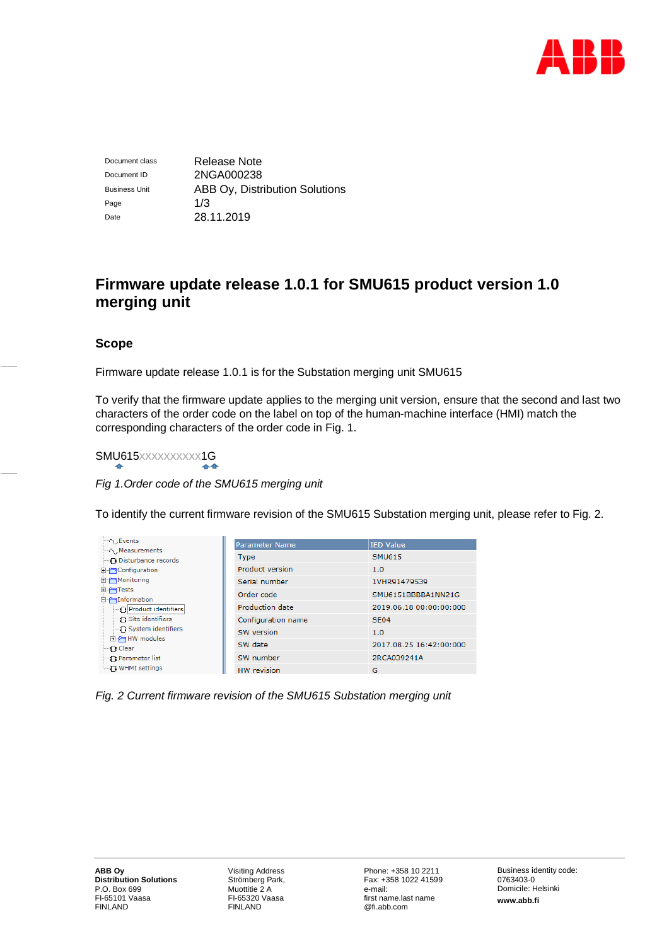

Document class Release Note Document ID 2NGA000238 Business Unit **ABB Oy, Distribution Solutions** Page 1/3 Date 28.11.2019

# **Firmware update release 1.0.1 for SMU615 product version 1.0 merging unit**

## **Scope**

Firmware update release 1.0.1 is for the Substation merging unit SMU615

To verify that the firmware update applies to the merging unit version, ensure that the second and last two characters of the order code on the label on top of the human-machine interface (HMI) match the corresponding characters of the order code in Fig. 1.

# SMU615xxxxxxxxxx1G

*Fig 1.Order code of the SMU615 merging unit*

To identify the current firmware revision of the SMU615 Substation merging unit, please refer to Fig. 2.

| $\sim$ Events<br>$\sim$ Measurements    | <b>Parameter Name</b>  | IED Value               |
|-----------------------------------------|------------------------|-------------------------|
| <b>In Disturbance records</b>           | <b>Type</b>            | <b>SMU615</b>           |
| <b>E</b> Configuration                  | <b>Product version</b> | 1.0                     |
| 日日Monitoring                            | Serial number          | 1VHR91479539            |
| 田行Tests<br>□ Information                | Order code             | SMU6151BBBBA1NN21G      |
| Product identifiers<br>Site identifiers | Production date        | 2019.06.18 00:00:00:000 |
|                                         | Configuration name     | SE <sub>04</sub>        |
| - ∩ System identifiers                  | SW version             | 1.0                     |
| <b>E</b> -PIHW modules<br>—¶ Clear      | SW date                | 2017.08.25 16:42:00:000 |
| <b>Parameter list</b>                   | SW number              | 2RCA039241A             |
| ं ¶ WHMI settings                       | <b>HW</b> revision     | G                       |

*Fig. 2 Current firmware revision of the SMU615 Substation merging unit*

Visiting Address Strömberg Park, Muottitie 2 A FI-65320 Vaasa FINLAND

Phone: +358 10 2211 Fax: +358 1022 41599 e-mail: first name.last name @fi.abb.com

Business identity code: 0763403-0 Domicile: Helsinki **www.abb.fi**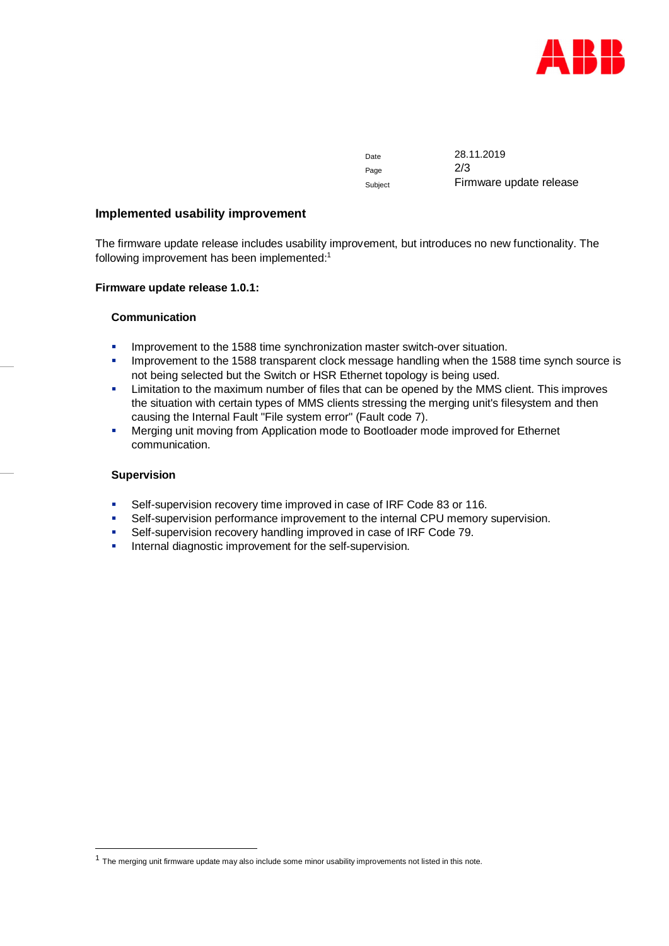

Date 28.11.2019 Page 2/3 Subject Firmware update release

#### **Implemented usability improvement**

The firmware update release includes usability improvement, but introduces no new functionality. The following improvement has been implemented:<sup>1</sup>

#### **Firmware update release 1.0.1:**

#### **Communication**

- Improvement to the 1588 time synchronization master switch-over situation.
- Improvement to the 1588 transparent clock message handling when the 1588 time synch source is not being selected but the Switch or HSR Ethernet topology is being used.
- **■** Limitation to the maximum number of files that can be opened by the MMS client. This improves the situation with certain types of MMS clients stressing the merging unit's filesystem and then causing the Internal Fault "File system error" (Fault code 7).
- Merging unit moving from Application mode to Bootloader mode improved for Ethernet communication.

#### **Supervision**

- Self-supervision recovery time improved in case of IRF Code 83 or 116.
- Self-supervision performance improvement to the internal CPU memory supervision.
- Self-supervision recovery handling improved in case of IRF Code 79.
- Internal diagnostic improvement for the self-supervision.

 $<sup>1</sup>$  The merging unit firmware update may also include some minor usability improvements not listed in this note.</sup>